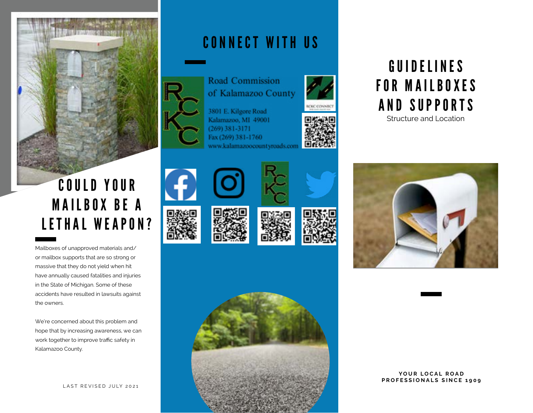

# COULD YOUR **MAILBOX BE A** LETHAL WEAPON?

Mailboxes of unapproved materials and/ or mailbox supports that are so strong or massive that they do not yield when hit have annually caused fatalities and injuries in the State of Michigan. Some of these accidents have resulted in lawsuits against the owners.

We're concerned about this problem and hope that by increasing awareness, we can work together to improve traffic safety in Kalamazoo County.

## CONNECT WITH US



of Kalamazoo County

3801 E. Kilgore Road Kalamazoo, MI 49001  $(269)$  381-3171 Fax (269) 381-1760 www.kalamazoocountyroads.com















# GUIDELINES FOR MAILBOXES AND SUPPORTS

Structure and Location



### YOUR LOCAL ROAD **PROFESSIONALS SINCE 1909**